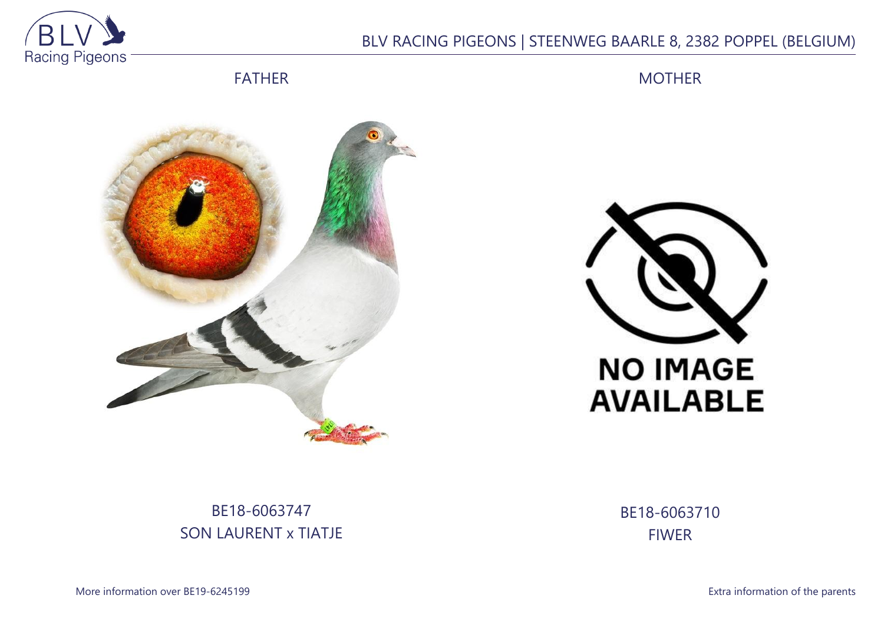

## BLV RACING PIGEONS | STEENWEG BAARLE 8, 2382 POPPEL (BELGIUM)

FATHER

MOTHER





## BE18-6063747 SON LAURENT x TIATJE

BE18-6063710 FIWER

More information over BE19-6245199 **Extra information of the parents**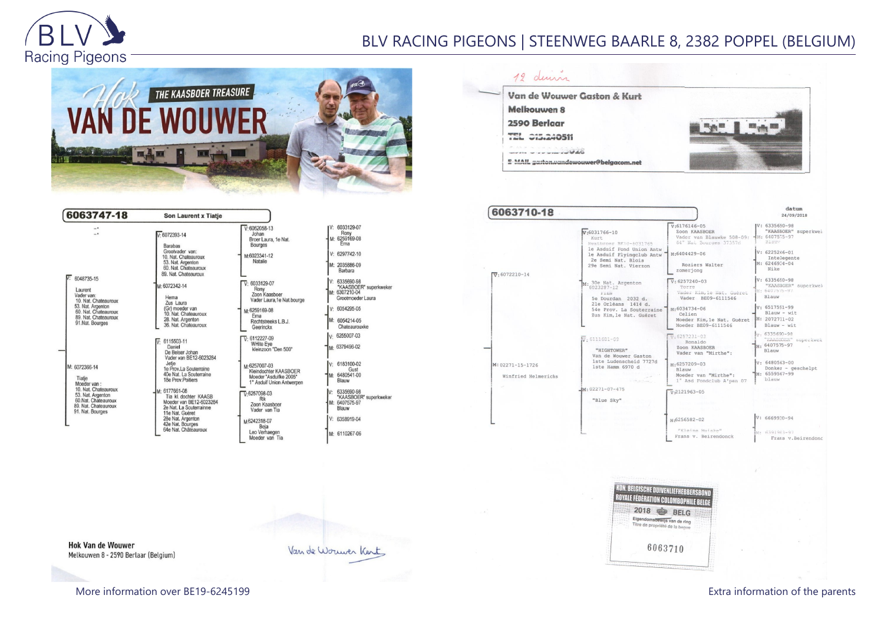

## BLV RACING PIGEONS | STEENWEG BAARLE 8, 2382 POPPEL (BELGIUM)



| 6063747-18                                                                                                                                             | <b>Son Laurent x Tiatie</b>                                                                                                                                                                                                                                                                                                                               |                                                                                                                                                                                                                                                                                                |                                                                                                                                                                                     |
|--------------------------------------------------------------------------------------------------------------------------------------------------------|-----------------------------------------------------------------------------------------------------------------------------------------------------------------------------------------------------------------------------------------------------------------------------------------------------------------------------------------------------------|------------------------------------------------------------------------------------------------------------------------------------------------------------------------------------------------------------------------------------------------------------------------------------------------|-------------------------------------------------------------------------------------------------------------------------------------------------------------------------------------|
| $\overline{\phantom{a}}$<br>6048735-15                                                                                                                 | $V: 6072393 - 14$<br>Barabas<br>Grootvader van:<br>10. Nat. Chateauroux<br>53. Nat. Argenton<br>60. Nat. Chateauroux<br>89. Nat. Chateauroux                                                                                                                                                                                                              | $V: 6062058-13$<br>Johan<br>Broer Laura, 1e Nat.<br><b>Bourges</b><br>M:6023341-12<br>Natalie                                                                                                                                                                                                  | IV: 6033129-07<br>Rony<br>M: 6259169-08<br>Erna<br>$V: 6297742 - 10$<br>M: 2035886-09<br>Barbara                                                                                    |
| Laurent<br>Vader van:<br>10. Nat. Chateauroux<br>53. Nat. Argenton<br>60. Nat. Chateauroux<br>89. Nat. Chateauroux<br>91.Nat. Bourges                  | M: 6072342-14<br>Herna<br>Zus Laura<br>(Gr) moeder van<br>10. Nat. Chateauroux<br>28. Nat. Argenton<br>36. Nat. Chateauroux                                                                                                                                                                                                                               | 6033129-07<br>$\overline{\mathsf{V}}^\cdot$<br>Rony<br>Zoon Kaasboer<br>Vader Laura, 1e Nat.bourge<br>M:6259169-08<br>Erna<br>Rechtstreeks L.B.J.<br>Geerinckx                                                                                                                                 | $V: 6335690-98$<br>"KAASBOER" super<br>M: 6307210-04<br>Grootmoeder Laura<br>$V: 6054295-05$<br>M: 6054214-05<br>Chateaurouxke                                                      |
| M: 6072366-14<br>Tiatie<br>Moeder van:<br>10. Nat. Chateauroux<br>53. Nat. Argenton<br>60.Nat. Chateauroux<br>89. Nat. Chateauroux<br>91. Nat. Bourges | $\overline{V}$ : 6115503-11<br>Daniel<br>De Belser Johan<br>Vader van BE12-6023284<br>Jetie<br>1e Prov.La Souterraine<br>40e Nat. La Souterraine<br>18e Prov.Poitiers<br>M: 6177661-08<br>Tia kl. dochter KAASB<br>Moeder van BE12-6023284<br>2e Nat. La Souterrainne<br>11e Nat. Guéret<br>28e Nat. Argenton<br>42e Nat. Bourges<br>64e Nat. Châteauroux | $\nabla 6112227-09$<br><b>WHite Eve</b><br>kleinzoon "Den 500"<br>M:6257007-03<br>Kleindochter KAASBOER<br>Moeder "Asduifke 2005"<br>1° Asduif Union Antwerpen<br>$\overline{V}$ 6257098-03<br>Rik<br>Zoon Kaasboer<br>Vader van Tia<br>M6242318-07<br>Beja<br>Leo Verhaegen<br>Moeder van Tia | V: 6255007-03<br>M: 6379496-02<br>V: 6183100-02<br>Gust<br>M: 6480541-00<br>Blauw<br>IV: 6335690-98<br>"KAASBOER" super<br>M: 6407575-97<br>Blauw<br>V: 6358919-04<br>M: 6110267-06 |

erkweker rkweker



| 6063710-18                              |                                                                                  |                                                                                        | datum<br>24/09/2018                                                             |
|-----------------------------------------|----------------------------------------------------------------------------------|----------------------------------------------------------------------------------------|---------------------------------------------------------------------------------|
|                                         | $v:6031766 - 10$<br>Kurt.<br>Mestbroer BE10-6031765<br>le Asduif Fond Union Antw | $V:6176146-05$<br>Zoon KAASBOER<br>Vader van Blauwke 508-09:<br>64" Nai Bourges 373576 | $IV: 6335690 - 98$<br>"KAASBOER" superkwei<br>$M: 6407575 - 97$<br><b>Biouv</b> |
| $\overline{v}$ 6072210-14               | le Asduif Flyingclub Antw<br>2e Semi Nat. Blois<br>29e Semi Nat. Vierzon         | M:6404429-06<br>Roziers Walter<br>zomeriong                                            | $V: 6225246 - 01$<br>Intelegente<br>M: 6246934-04<br>Nike                       |
|                                         | M: 30e Nat. Argenton<br>6023287-12<br>Filmy<br>5e Dourdan 2032 d.                | $V: 6257240 - 03$<br>Torre<br>Vader Kim, le Nat. Guéret<br>Vader BE09-6111546          | V: 6335690-98<br>"KAASBOER" superkwek<br>M: 6407575-97<br>Blauw                 |
|                                         | 21e Orléans 1414 d.<br>54e Prov. La Souterraine<br>Zus Kim, le Nat. Guéret       | $M.6034734 - 06$<br>Celien<br>Moeder Kim, le Nat. Guéret<br>Moeder BE09-6111546        | $V: 6517591 - 99$<br>$Blauw - wit$<br>$M: 2072711 - 02$<br>$Blauw - wit$        |
|                                         | $\overline{W}$ : 6111601-09<br>"HIGHTOWER"<br>Van de Wouwer Gaston               | $\frac{1}{2}$ . 6257231-03<br>Ronaldo<br>Zoon KAASBOER<br>Vader van "Mirthe":          | $\frac{1}{2}$ , 6335690-98<br>"KAASBOER" superkwek<br>M: 6407575-97<br>Blauw    |
| M: 02271-15-1726<br>Winfried Helmerichs | 1ste Ludenscheid 7727d<br>1ste Hamm 6970 d<br>contract to an in-                 | M:6257209-03<br>Blanw<br>Moeder van "Mirthe":<br>1° Asd Fondclub A'pen 07              | $V: 6480563 - 00$<br>Donker - geschelpt<br>M: 6559567-99<br>blauw               |
|                                         | $M: 02271 - 07 - 475$<br>"Blue Sky"                                              | $\frac{1}{2}$ 2121963-05                                                               |                                                                                 |
|                                         |                                                                                  | м-6256582-02<br>"Klaina Muiska"                                                        | $V: 6669930 - 94$                                                               |
|                                         |                                                                                  | Frans v. Beirendonck                                                                   | M4 6391983-97<br>Frans v. Beirendonc                                            |

| 2018 |         | <b>BELG</b>                                                   |
|------|---------|---------------------------------------------------------------|
|      |         | Eigendomsbewijs van de ring<br>Titre de propriété de la bague |
|      | 6063710 |                                                               |

**Hok Van de Wouwer** Melkouwen 8 - 2590 Berlaar (Belgium)

Van de Worwer Kent